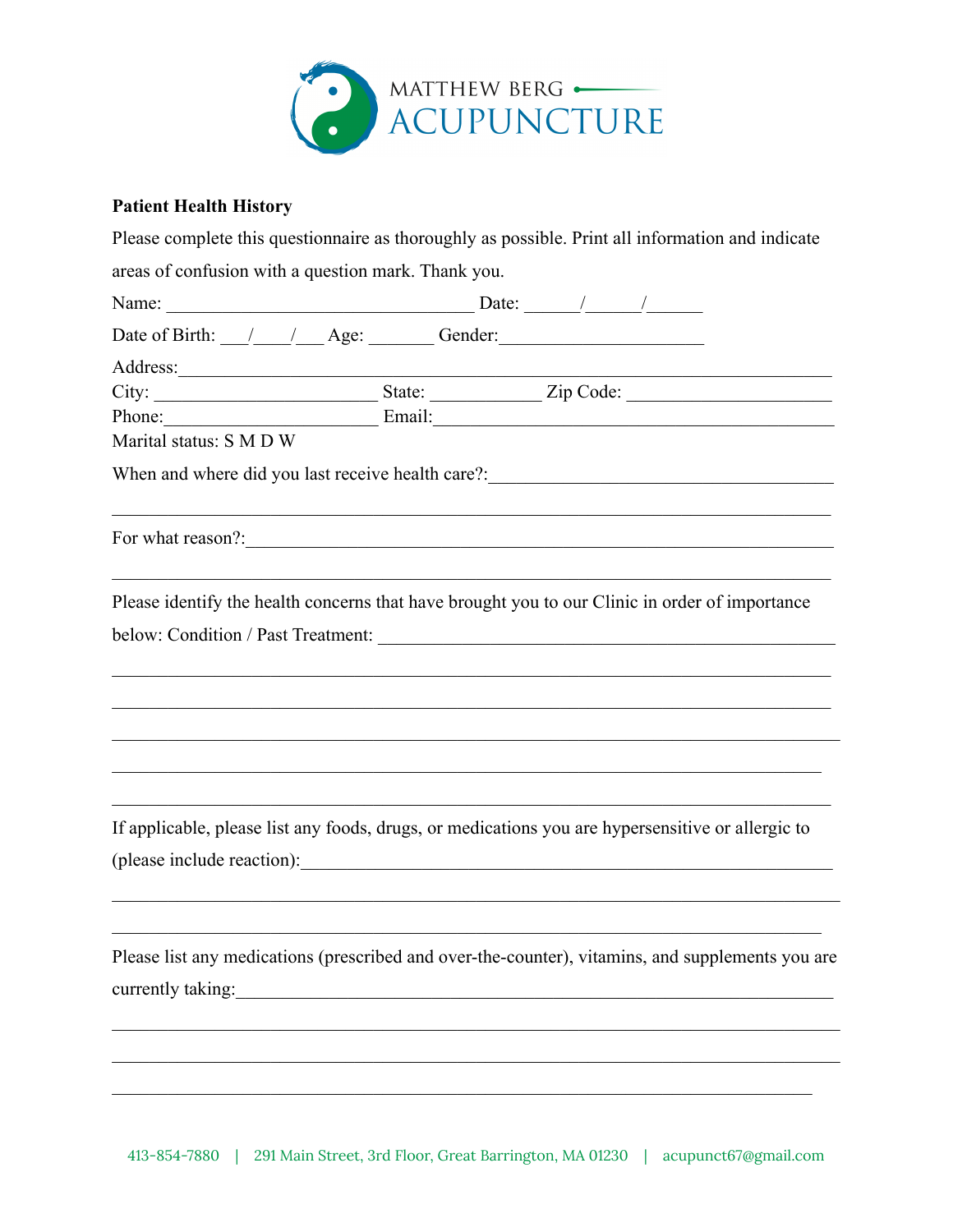

## **Patient Health History**

|  | areas of confusion with a question mark. Thank you.<br>Address: <u>example and the set of the set of the set of the set of the set of the set of the set of the set of the set of the set of the set of the set of the set of the set of the set of the set of the set of the set of th</u> |  | Please complete this questionnaire as thoroughly as possible. Print all information and indicate<br>Name: $\frac{1}{\sqrt{1-\frac{1}{2}}}\left[\frac{1}{2}\right]$<br>Date of Birth: $\angle$ $\angle$ $\angle$ $\angle$ Age: $\angle$ Gender:<br>Phone: Email: Email:<br>When and where did you last receive health care?:________________________________<br>Please identify the health concerns that have brought you to our Clinic in order of importance<br>If applicable, please list any foods, drugs, or medications you are hypersensitive or allergic to<br>Please list any medications (prescribed and over-the-counter), vitamins, and supplements you are |
|--|---------------------------------------------------------------------------------------------------------------------------------------------------------------------------------------------------------------------------------------------------------------------------------------------|--|------------------------------------------------------------------------------------------------------------------------------------------------------------------------------------------------------------------------------------------------------------------------------------------------------------------------------------------------------------------------------------------------------------------------------------------------------------------------------------------------------------------------------------------------------------------------------------------------------------------------------------------------------------------------|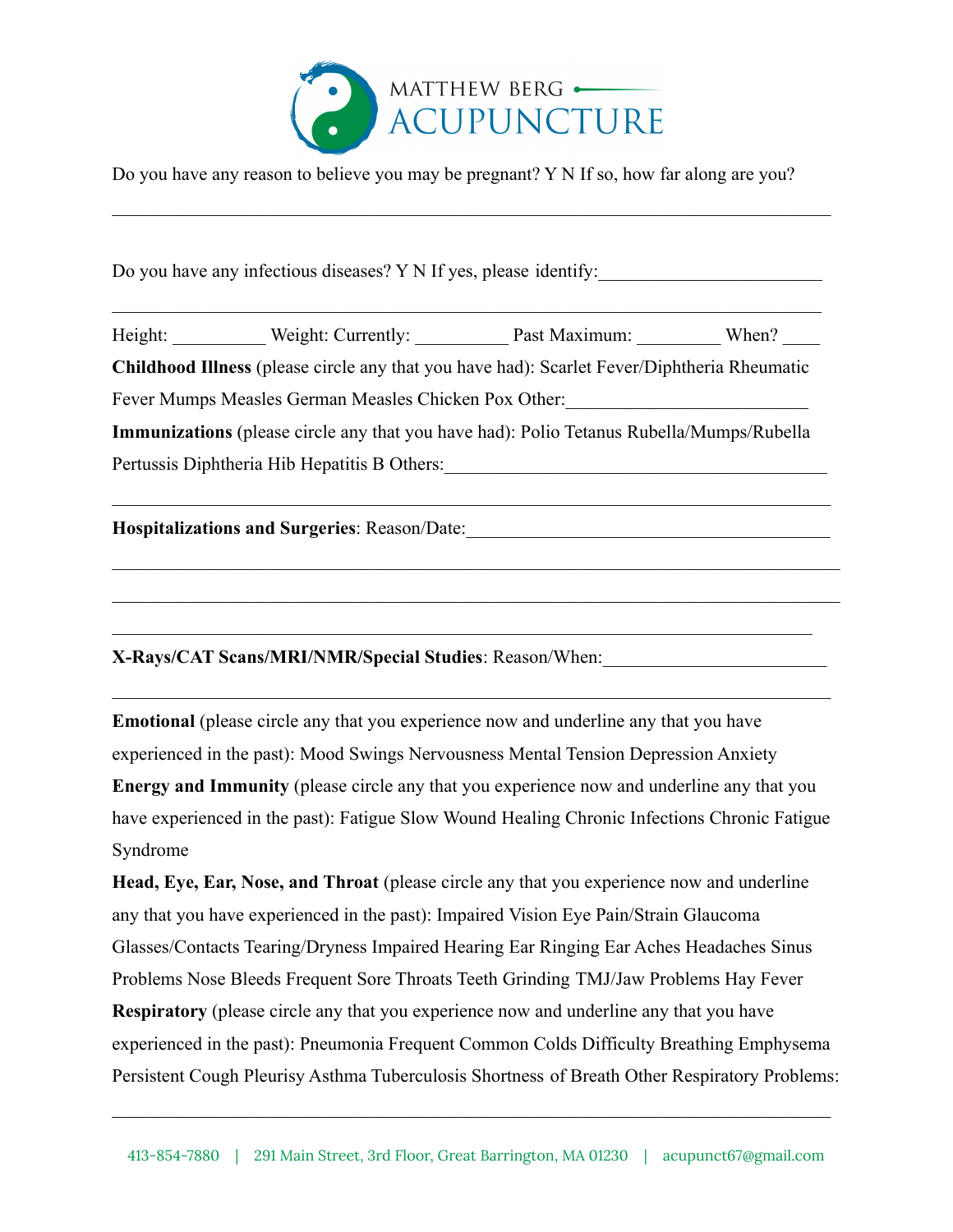

Do you have any reason to believe you may be pregnant? Y N If so, how far along are you?

 $\mathcal{L}_\mathcal{L} = \{ \mathcal{L}_\mathcal{L} = \{ \mathcal{L}_\mathcal{L} = \{ \mathcal{L}_\mathcal{L} = \{ \mathcal{L}_\mathcal{L} = \{ \mathcal{L}_\mathcal{L} = \{ \mathcal{L}_\mathcal{L} = \{ \mathcal{L}_\mathcal{L} = \{ \mathcal{L}_\mathcal{L} = \{ \mathcal{L}_\mathcal{L} = \{ \mathcal{L}_\mathcal{L} = \{ \mathcal{L}_\mathcal{L} = \{ \mathcal{L}_\mathcal{L} = \{ \mathcal{L}_\mathcal{L} = \{ \mathcal{L}_\mathcal{$ 

Do you have any infectious diseases? Y N If yes, please identify:

Height: Weight: Currently: Past Maximum: When? **Childhood Illness** (please circle any that you have had): Scarlet Fever/Diphtheria Rheumatic Fever Mumps Measles German Measles Chicken Pox Other: **Immunizations** (please circle any that you have had): Polio Tetanus Rubella/Mumps/Rubella Pertussis Diphtheria Hib Hepatitis B Others:

 $\mathcal{L}_\mathcal{L} = \{ \mathcal{L}_\mathcal{L} = \{ \mathcal{L}_\mathcal{L} = \{ \mathcal{L}_\mathcal{L} = \{ \mathcal{L}_\mathcal{L} = \{ \mathcal{L}_\mathcal{L} = \{ \mathcal{L}_\mathcal{L} = \{ \mathcal{L}_\mathcal{L} = \{ \mathcal{L}_\mathcal{L} = \{ \mathcal{L}_\mathcal{L} = \{ \mathcal{L}_\mathcal{L} = \{ \mathcal{L}_\mathcal{L} = \{ \mathcal{L}_\mathcal{L} = \{ \mathcal{L}_\mathcal{L} = \{ \mathcal{L}_\mathcal{$ 

 $\mathcal{L}_\mathcal{L} = \{ \mathcal{L}_\mathcal{L} = \{ \mathcal{L}_\mathcal{L} = \{ \mathcal{L}_\mathcal{L} = \{ \mathcal{L}_\mathcal{L} = \{ \mathcal{L}_\mathcal{L} = \{ \mathcal{L}_\mathcal{L} = \{ \mathcal{L}_\mathcal{L} = \{ \mathcal{L}_\mathcal{L} = \{ \mathcal{L}_\mathcal{L} = \{ \mathcal{L}_\mathcal{L} = \{ \mathcal{L}_\mathcal{L} = \{ \mathcal{L}_\mathcal{L} = \{ \mathcal{L}_\mathcal{L} = \{ \mathcal{L}_\mathcal{$ 

 $\mathcal{L}_\mathcal{L} = \{ \mathcal{L}_\mathcal{L} = \{ \mathcal{L}_\mathcal{L} = \{ \mathcal{L}_\mathcal{L} = \{ \mathcal{L}_\mathcal{L} = \{ \mathcal{L}_\mathcal{L} = \{ \mathcal{L}_\mathcal{L} = \{ \mathcal{L}_\mathcal{L} = \{ \mathcal{L}_\mathcal{L} = \{ \mathcal{L}_\mathcal{L} = \{ \mathcal{L}_\mathcal{L} = \{ \mathcal{L}_\mathcal{L} = \{ \mathcal{L}_\mathcal{L} = \{ \mathcal{L}_\mathcal{L} = \{ \mathcal{L}_\mathcal{$ 

 $\mathcal{L}_\text{max}$  , and the contribution of the contribution of the contribution of the contribution of the contribution of the contribution of the contribution of the contribution of the contribution of the contribution of t

 $\mathcal{L}_\text{max}$  , and the contribution of the contribution of the contribution of the contribution of the contribution of

**Hospitalizations and Surgeries**: Reason/Date:\_\_\_\_\_\_\_\_\_\_\_\_\_\_\_\_\_\_\_\_\_\_\_\_\_\_\_\_\_\_\_\_\_\_\_\_\_\_\_

**X-Rays/CAT Scans/MRI/NMR/Special Studies**: Reason/When:\_\_\_\_\_\_\_\_\_\_\_\_\_\_\_\_\_\_\_\_\_\_\_\_

**Emotional** (please circle any that you experience now and underline any that you have experienced in the past): Mood Swings Nervousness Mental Tension Depression Anxiety **Energy and Immunity** (please circle any that you experience now and underline any that you have experienced in the past): Fatigue Slow Wound Healing Chronic Infections Chronic Fatigue Syndrome

 $\mathcal{L}_\mathcal{L} = \{ \mathcal{L}_\mathcal{L} = \{ \mathcal{L}_\mathcal{L} = \{ \mathcal{L}_\mathcal{L} = \{ \mathcal{L}_\mathcal{L} = \{ \mathcal{L}_\mathcal{L} = \{ \mathcal{L}_\mathcal{L} = \{ \mathcal{L}_\mathcal{L} = \{ \mathcal{L}_\mathcal{L} = \{ \mathcal{L}_\mathcal{L} = \{ \mathcal{L}_\mathcal{L} = \{ \mathcal{L}_\mathcal{L} = \{ \mathcal{L}_\mathcal{L} = \{ \mathcal{L}_\mathcal{L} = \{ \mathcal{L}_\mathcal{$ 

**Head, Eye, Ear, Nose, and Throat** (please circle any that you experience now and underline any that you have experienced in the past): Impaired Vision Eye Pain/Strain Glaucoma Glasses/Contacts Tearing/Dryness Impaired Hearing Ear Ringing Ear Aches Headaches Sinus Problems Nose Bleeds Frequent Sore Throats Teeth Grinding TMJ/Jaw Problems Hay Fever **Respiratory** (please circle any that you experience now and underline any that you have experienced in the past): Pneumonia Frequent Common Colds Difficulty Breathing Emphysema Persistent Cough Pleurisy Asthma Tuberculosis Shortness of Breath Other Respiratory Problems:

 $\mathcal{L}_\mathcal{L} = \{ \mathcal{L}_\mathcal{L} = \{ \mathcal{L}_\mathcal{L} = \{ \mathcal{L}_\mathcal{L} = \{ \mathcal{L}_\mathcal{L} = \{ \mathcal{L}_\mathcal{L} = \{ \mathcal{L}_\mathcal{L} = \{ \mathcal{L}_\mathcal{L} = \{ \mathcal{L}_\mathcal{L} = \{ \mathcal{L}_\mathcal{L} = \{ \mathcal{L}_\mathcal{L} = \{ \mathcal{L}_\mathcal{L} = \{ \mathcal{L}_\mathcal{L} = \{ \mathcal{L}_\mathcal{L} = \{ \mathcal{L}_\mathcal{$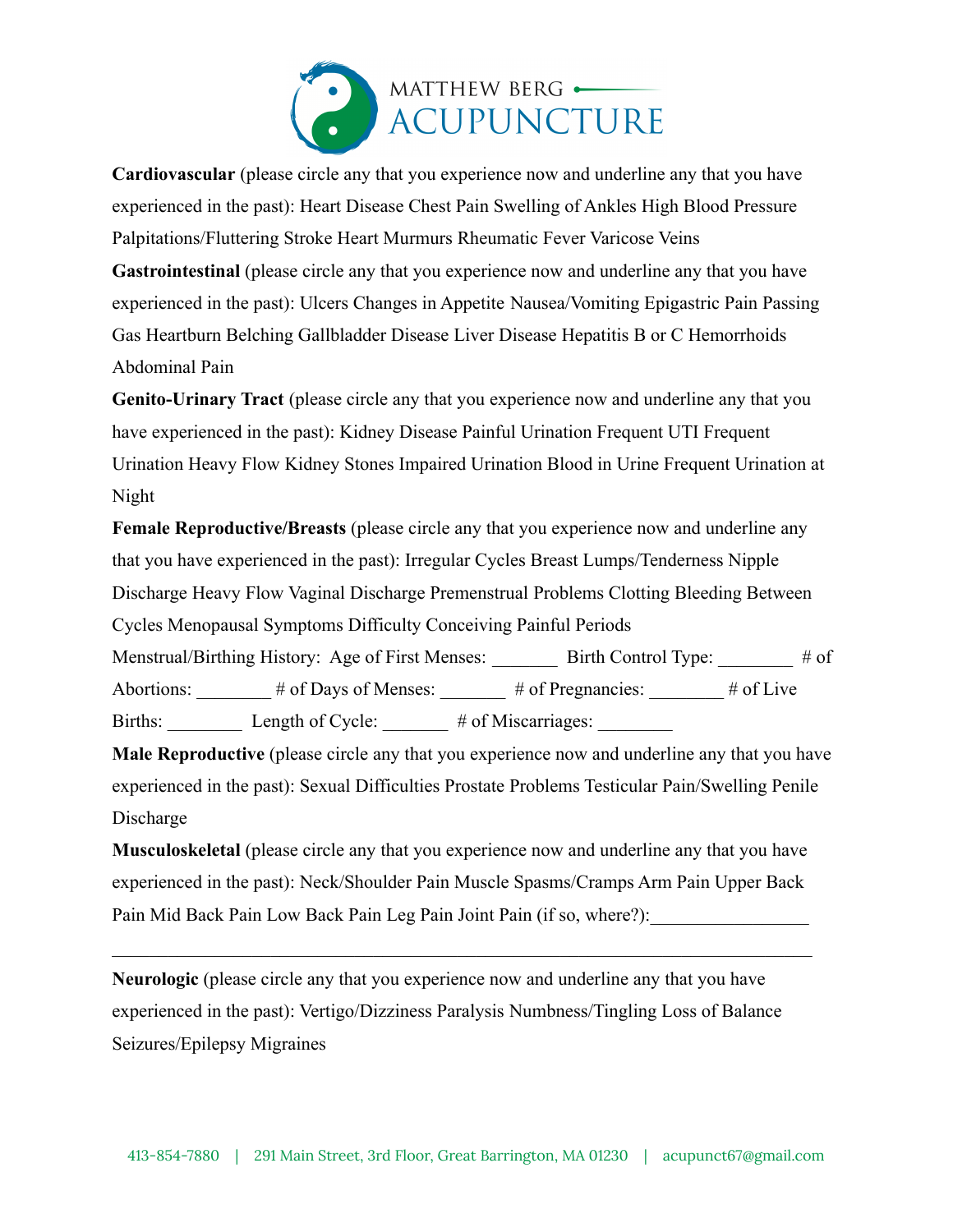

**Cardiovascular** (please circle any that you experience now and underline any that you have experienced in the past): Heart Disease Chest Pain Swelling of Ankles High Blood Pressure Palpitations/Fluttering Stroke Heart Murmurs Rheumatic Fever Varicose Veins **Gastrointestinal** (please circle any that you experience now and underline any that you have experienced in the past): Ulcers Changes in Appetite Nausea/Vomiting Epigastric Pain Passing Gas Heartburn Belching Gallbladder Disease Liver Disease Hepatitis B or C Hemorrhoids Abdominal Pain

**Genito-Urinary Tract** (please circle any that you experience now and underline any that you have experienced in the past): Kidney Disease Painful Urination Frequent UTI Frequent Urination Heavy Flow Kidney Stones Impaired Urination Blood in Urine Frequent Urination at Night

**Female Reproductive/Breasts** (please circle any that you experience now and underline any that you have experienced in the past): Irregular Cycles Breast Lumps/Tenderness Nipple Discharge Heavy Flow Vaginal Discharge Premenstrual Problems Clotting Bleeding Between Cycles Menopausal Symptoms Difficulty Conceiving Painful Periods

Menstrual/Birthing History: Age of First Menses: \_\_\_\_\_\_\_ Birth Control Type: \_\_\_\_\_\_ # of Abortions:  $\frac{1}{\sqrt{1-\frac{1}{n}}}$  # of Days of Menses:  $\frac{1}{\sqrt{1-\frac{1}{n}}}$  # of Pregnancies:  $\frac{1}{\sqrt{1-\frac{1}{n}}}$  # of Live Births: Length of Cycle: # of Miscarriages:

**Male Reproductive** (please circle any that you experience now and underline any that you have experienced in the past): Sexual Difficulties Prostate Problems Testicular Pain/Swelling Penile Discharge

**Musculoskeletal** (please circle any that you experience now and underline any that you have experienced in the past): Neck/Shoulder Pain Muscle Spasms/Cramps Arm Pain Upper Back Pain Mid Back Pain Low Back Pain Leg Pain Joint Pain (if so, where?):

 $\mathcal{L}_\text{max}$  , and the contribution of the contribution of the contribution of the contribution of the contribution of the contribution of the contribution of the contribution of the contribution of the contribution of t

**Neurologic** (please circle any that you experience now and underline any that you have experienced in the past): Vertigo/Dizziness Paralysis Numbness/Tingling Loss of Balance Seizures/Epilepsy Migraines